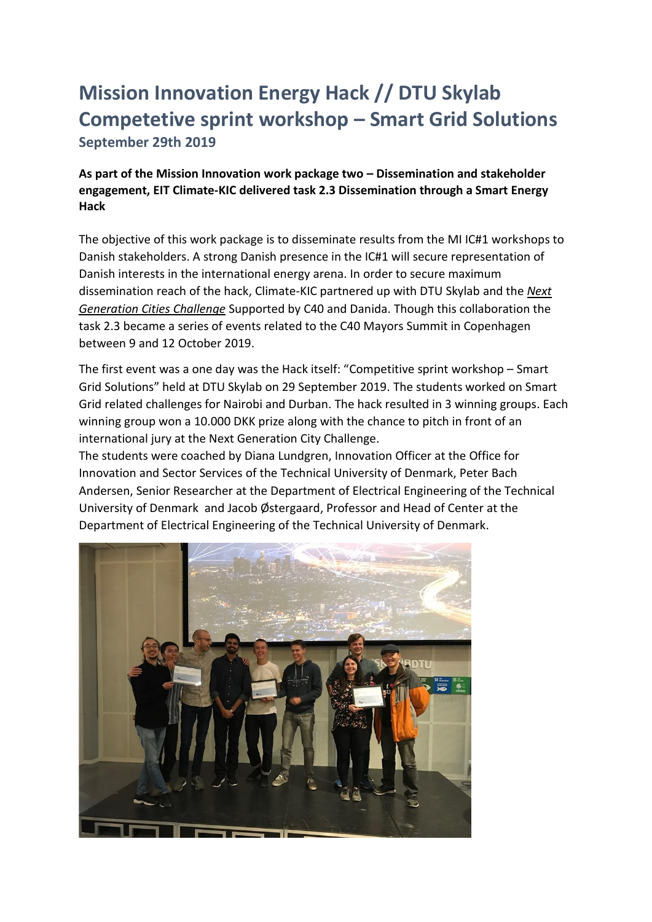## **Mission Innovation Energy Hack // DTU Skylab Competetive sprint workshop – Smart Grid Solutions September 29th 2019**

**As part of the Mission Innovation work package two – Dissemination and stakeholder engagement, EIT Climate-KIC delivered task 2.3 Dissemination through a Smart Energy Hack** 

The objective of this work package is to disseminate results from the MI IC#1 workshops to Danish stakeholders. A strong Danish presence in the IC#1 will secure representation of Danish interests in the international energy arena. In order to secure maximum dissemination reach of the hack, Climate-KIC partnered up with DTU Skylab and the *[Next](https://www.skylab.dtu.dk/programmes/next-generation)  [Generation Cities Challenge](https://www.skylab.dtu.dk/programmes/next-generation)* Supported by C40 and Danida. Though this collaboration the task 2.3 became a series of events related to the C40 Mayors Summit in Copenhagen between 9 and 12 October 2019.

The first event was a one day was the Hack itself: "Competitive sprint workshop – Smart Grid Solutions" held at DTU Skylab on 29 September 2019. The students worked on Smart Grid related challenges for Nairobi and Durban. The hack resulted in 3 winning groups. Each winning group won a 10.000 DKK prize along with the chance to pitch in front of an international jury at the Next Generation City Challenge.

The students were coached by Diana Lundgren, Innovation Officer at the Office for Innovation and Sector Services of the Technical University of Denmark, Peter Bach Andersen, Senior Researcher at the Department of Electrical Engineering of the Technical University of Denmark and Jacob Østergaard, Professor and Head of Center at the Department of Electrical Engineering of the Technical University of Denmark.

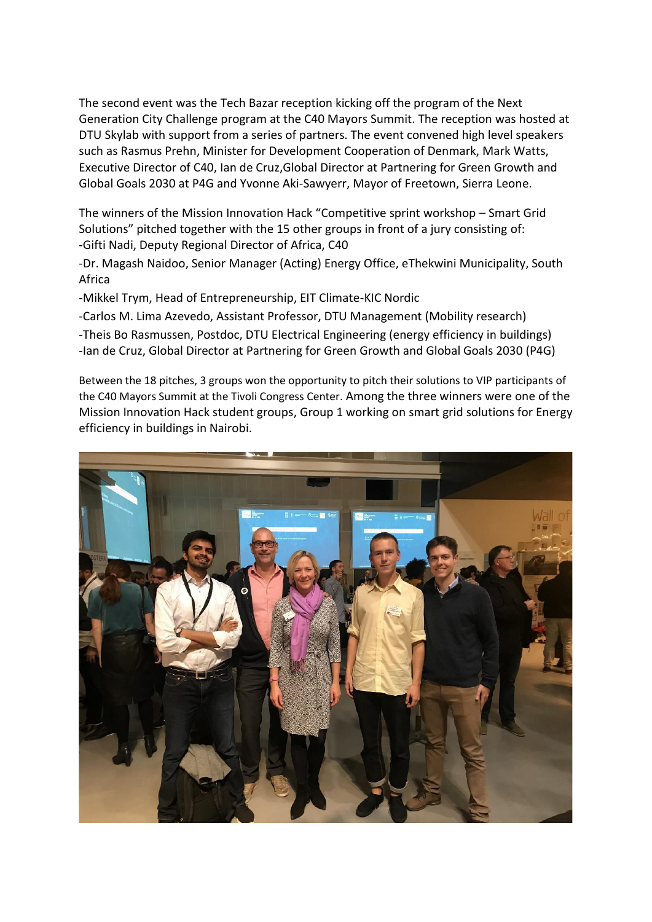The second event was the Tech Bazar reception kicking off the program of the Next Generation City Challenge program at the C40 Mayors Summit. The reception was hosted at DTU Skylab with support from a series of partners. The event convened high level speakers such as Rasmus Prehn, Minister for Development Cooperation of Denmark, Mark Watts, Executive Director of C40, Ian de Cruz,Global Director at Partnering for Green Growth and Global Goals 2030 at P4G and Yvonne Aki-Sawyerr, Mayor of Freetown, Sierra Leone.

The winners of the Mission Innovation Hack "Competitive sprint workshop – Smart Grid Solutions" pitched together with the 15 other groups in front of a jury consisting of: -Gifti Nadi, Deputy Regional Director of Africa, C40

-Dr. Magash Naidoo, Senior Manager (Acting) Energy Office, eThekwini Municipality, South Africa

-Mikkel Trym, Head of Entrepreneurship, EIT Climate-KIC Nordic

-Carlos M. Lima Azevedo, Assistant Professor, DTU Management (Mobility research)

-Theis Bo Rasmussen, Postdoc, DTU Electrical Engineering (energy efficiency in buildings) -Ian de Cruz, Global Director at Partnering for Green Growth and Global Goals 2030 (P4G)

Between the 18 pitches, 3 groups won the opportunity to pitch their solutions to VIP participants of the C40 Mayors Summit at the Tivoli Congress Center. Among the three winners were one of the Mission Innovation Hack student groups, Group 1 working on smart grid solutions for Energy efficiency in buildings in Nairobi.

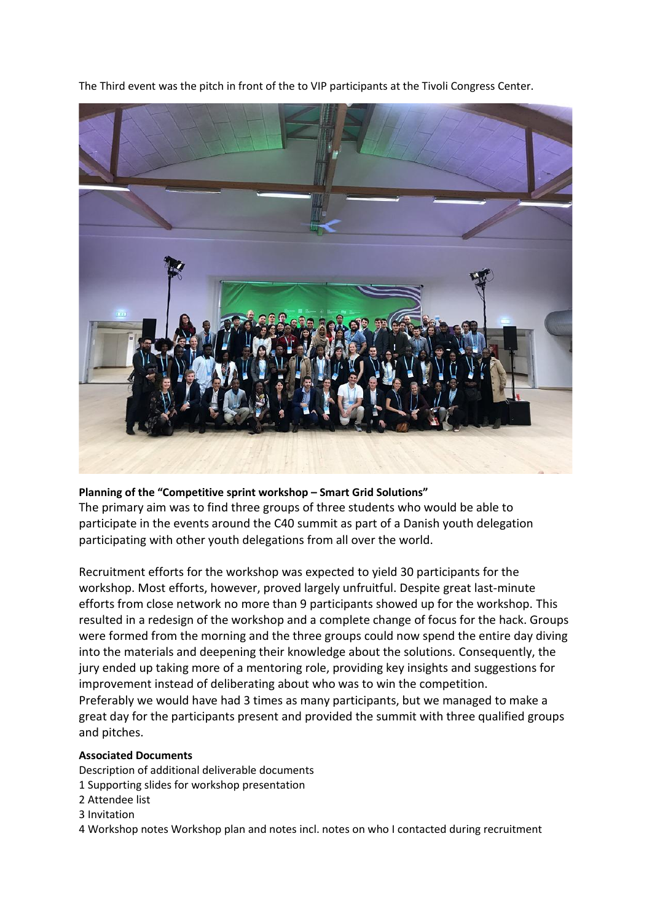The Third event was the pitch in front of the to VIP participants at the Tivoli Congress Center.



## **Planning of the "Competitive sprint workshop – Smart Grid Solutions"**

The primary aim was to find three groups of three students who would be able to participate in the events around the C40 summit as part of a Danish youth delegation participating with other youth delegations from all over the world.

Recruitment efforts for the workshop was expected to yield 30 participants for the workshop. Most efforts, however, proved largely unfruitful. Despite great last-minute efforts from close network no more than 9 participants showed up for the workshop. This resulted in a redesign of the workshop and a complete change of focus for the hack. Groups were formed from the morning and the three groups could now spend the entire day diving into the materials and deepening their knowledge about the solutions. Consequently, the jury ended up taking more of a mentoring role, providing key insights and suggestions for improvement instead of deliberating about who was to win the competition. Preferably we would have had 3 times as many participants, but we managed to make a great day for the participants present and provided the summit with three qualified groups and pitches.

## **Associated Documents**

Description of additional deliverable documents

- 1 Supporting slides for workshop presentation
- 2 Attendee list
- 3 Invitation

4 Workshop notes Workshop plan and notes incl. notes on who I contacted during recruitment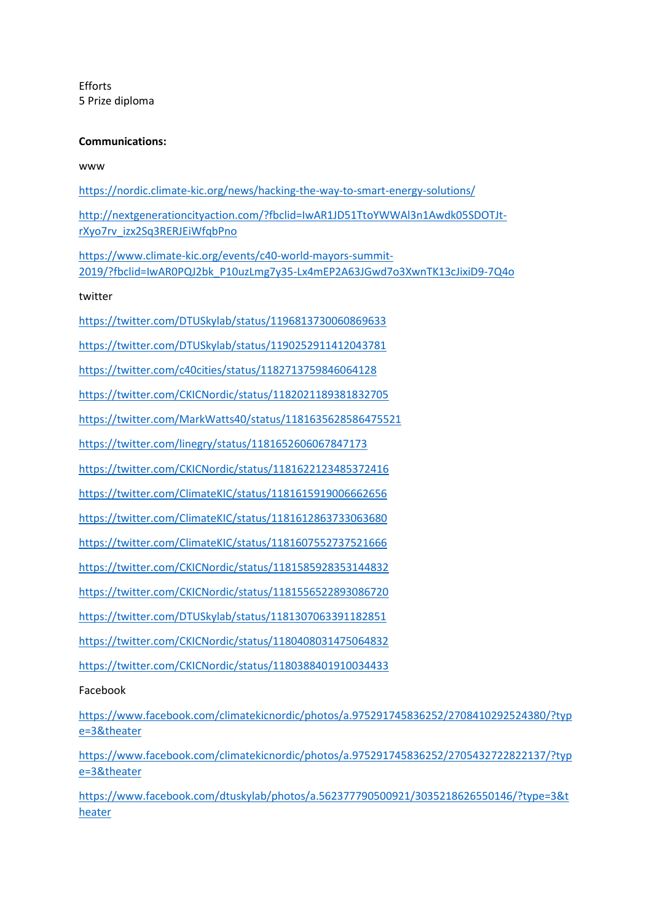Efforts 5 Prize diploma

## **Communications:**

www

<https://nordic.climate-kic.org/news/hacking-the-way-to-smart-energy-solutions/> [http://nextgenerationcityaction.com/?fbclid=IwAR1JD51TtoYWWAl3n1Awdk05SDOTJt](http://nextgenerationcityaction.com/?fbclid=IwAR1JD51TtoYWWAl3n1Awdk05SDOTJt-rXyo7rv_izx2Sq3RERJEiWfqbPno)[rXyo7rv\\_izx2Sq3RERJEiWfqbPno](http://nextgenerationcityaction.com/?fbclid=IwAR1JD51TtoYWWAl3n1Awdk05SDOTJt-rXyo7rv_izx2Sq3RERJEiWfqbPno) [https://www.climate-kic.org/events/c40-world-mayors-summit-](https://www.climate-kic.org/events/c40-world-mayors-summit-2019/?fbclid=IwAR0PQJ2bk_P10uzLmg7y35-Lx4mEP2A63JGwd7o3XwnTK13cJixiD9-7Q4o)[2019/?fbclid=IwAR0PQJ2bk\\_P10uzLmg7y35-Lx4mEP2A63JGwd7o3XwnTK13cJixiD9-7Q4o](https://www.climate-kic.org/events/c40-world-mayors-summit-2019/?fbclid=IwAR0PQJ2bk_P10uzLmg7y35-Lx4mEP2A63JGwd7o3XwnTK13cJixiD9-7Q4o) twitter <https://twitter.com/DTUSkylab/status/1196813730060869633> <https://twitter.com/DTUSkylab/status/1190252911412043781> <https://twitter.com/c40cities/status/1182713759846064128> <https://twitter.com/CKICNordic/status/1182021189381832705> <https://twitter.com/MarkWatts40/status/1181635628586475521> <https://twitter.com/linegry/status/1181652606067847173> <https://twitter.com/CKICNordic/status/1181622123485372416> <https://twitter.com/ClimateKIC/status/1181615919006662656> <https://twitter.com/ClimateKIC/status/1181612863733063680> <https://twitter.com/ClimateKIC/status/1181607552737521666> <https://twitter.com/CKICNordic/status/1181585928353144832> <https://twitter.com/CKICNordic/status/1181556522893086720> <https://twitter.com/DTUSkylab/status/1181307063391182851> <https://twitter.com/CKICNordic/status/1180408031475064832> <https://twitter.com/CKICNordic/status/1180388401910034433>

Facebook

[https://www.facebook.com/climatekicnordic/photos/a.975291745836252/2708410292524380/?typ](https://www.facebook.com/climatekicnordic/photos/a.975291745836252/2708410292524380/?type=3&theater) [e=3&theater](https://www.facebook.com/climatekicnordic/photos/a.975291745836252/2708410292524380/?type=3&theater)

[https://www.facebook.com/climatekicnordic/photos/a.975291745836252/2705432722822137/?typ](https://www.facebook.com/climatekicnordic/photos/a.975291745836252/2705432722822137/?type=3&theater) [e=3&theater](https://www.facebook.com/climatekicnordic/photos/a.975291745836252/2705432722822137/?type=3&theater)

[https://www.facebook.com/dtuskylab/photos/a.562377790500921/3035218626550146/?type=3&t](https://www.facebook.com/dtuskylab/photos/a.562377790500921/3035218626550146/?type=3&theater) [heater](https://www.facebook.com/dtuskylab/photos/a.562377790500921/3035218626550146/?type=3&theater)